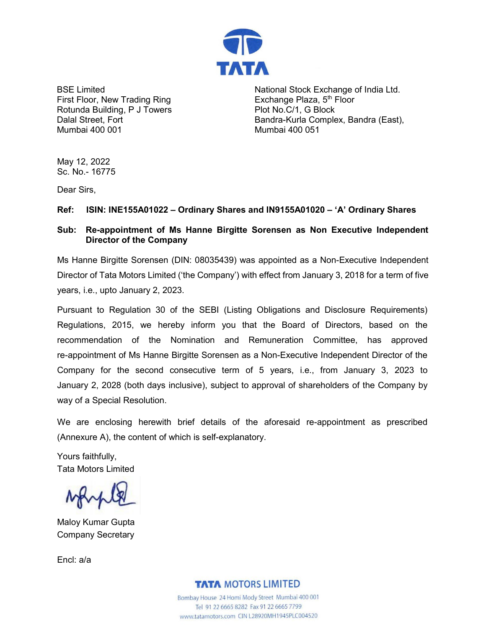

BSE Limited First Floor, New Trading Ring Rotunda Building, P J Towers Dalal Street, Fort Mumbai 400 001

National Stock Exchange of India Ltd. Exchange Plaza, 5<sup>th</sup> Floor Plot No.C/1, G Block Bandra-Kurla Complex, Bandra (East), Mumbai 400 051

May 12, 2022 Sc. No.- 16775

Dear Sirs,

## **Ref: ISIN: INE155A01022 – Ordinary Shares and IN9155A01020 – 'A' Ordinary Shares**

## **Sub: Re-appointment of Ms Hanne Birgitte Sorensen as Non Executive Independent Director of the Company**

Ms Hanne Birgitte Sorensen (DIN: 08035439) was appointed as a Non-Executive Independent Director of Tata Motors Limited ('the Company') with effect from January 3, 2018 for a term of five years, i.e., upto January 2, 2023.

Pursuant to Regulation 30 of the SEBI (Listing Obligations and Disclosure Requirements) Regulations, 2015, we hereby inform you that the Board of Directors, based on the recommendation of the Nomination and Remuneration Committee, has approved re-appointment of Ms Hanne Birgitte Sorensen as a Non-Executive Independent Director of the Company for the second consecutive term of 5 years, i.e., from January 3, 2023 to January 2, 2028 (both days inclusive), subject to approval of shareholders of the Company by way of a Special Resolution.

We are enclosing herewith brief details of the aforesaid re-appointment as prescribed (Annexure A), the content of which is self-explanatory.

Yours faithfully, Tata Motors Limited

Maloy Kumar Gupta Company Secretary

Encl: a/a

**TATA MOTORS LIMITED** 

Bombay House 24 Homi Mody Street Mumbai 400 001 Tel 91 22 6665 8282 Fax 91 22 6665 7799 www.tatamotors.com CIN L28920MH1945PLC004520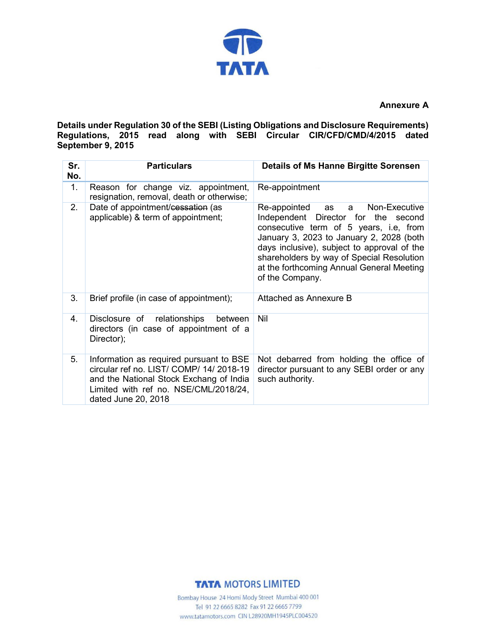

**Annexure A** 

**Details under Regulation 30 of the SEBI (Listing Obligations and Disclosure Requirements) Regulations, 2015 read along with SEBI Circular CIR/CFD/CMD/4/2015 dated September 9, 2015**

| Sr.<br>No.     | <b>Particulars</b>                                                                                                                                                                             | <b>Details of Ms Hanne Birgitte Sorensen</b>                                                                                                                                                                                                                                                                                   |
|----------------|------------------------------------------------------------------------------------------------------------------------------------------------------------------------------------------------|--------------------------------------------------------------------------------------------------------------------------------------------------------------------------------------------------------------------------------------------------------------------------------------------------------------------------------|
| 1 <sub>1</sub> | Reason for change viz. appointment,<br>resignation, removal, death or otherwise;                                                                                                               | Re-appointment                                                                                                                                                                                                                                                                                                                 |
| 2.             | Date of appointment/cessation (as<br>applicable) & term of appointment;                                                                                                                        | Non-Executive<br>Re-appointed as<br>a<br>Independent Director for the second<br>consecutive term of 5 years, i.e, from<br>January 3, 2023 to January 2, 2028 (both<br>days inclusive), subject to approval of the<br>shareholders by way of Special Resolution<br>at the forthcoming Annual General Meeting<br>of the Company. |
| 3.             | Brief profile (in case of appointment);                                                                                                                                                        | Attached as Annexure B                                                                                                                                                                                                                                                                                                         |
| 4.             | Disclosure of relationships<br>between<br>directors (in case of appointment of a<br>Director);                                                                                                 | <b>Nil</b>                                                                                                                                                                                                                                                                                                                     |
| 5.             | Information as required pursuant to BSE<br>circular ref no. LIST/ COMP/ 14/ 2018-19<br>and the National Stock Exchang of India<br>Limited with ref no. NSE/CML/2018/24,<br>dated June 20, 2018 | Not debarred from holding the office of<br>director pursuant to any SEBI order or any<br>such authority.                                                                                                                                                                                                                       |



Bombay House 24 Homi Mody Street Mumbai 400 001 Tel 91 22 6665 8282 Fax 91 22 6665 7799 www.tatamotors.com CIN L28920MH1945PLC004520